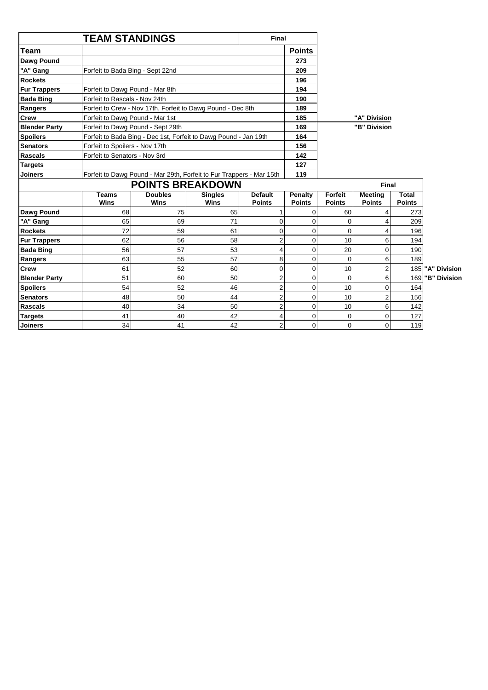|                      | <b>TEAM STANDINGS</b>                                                | Final         |              |
|----------------------|----------------------------------------------------------------------|---------------|--------------|
| Team                 |                                                                      | <b>Points</b> |              |
| Dawg Pound           |                                                                      | 273           |              |
| "A" Gang             | Forfeit to Bada Bing - Sept 22nd                                     | 209           |              |
| <b>Rockets</b>       |                                                                      | 196           |              |
| <b>Fur Trappers</b>  | Forfeit to Dawg Pound - Mar 8th                                      | 194           |              |
| <b>Bada Bing</b>     | Forfeit to Rascals - Nov 24th                                        | 190           |              |
| Rangers              | Forfeit to Crew - Nov 17th, Forfeit to Dawg Pound - Dec 8th          | 189           |              |
| Crew                 | Forfeit to Dawg Pound - Mar 1st                                      | 185           | "A" Division |
| <b>Blender Party</b> | Forfeit to Dawg Pound - Sept 29th                                    | 169           | "B" Division |
| <b>Spoilers</b>      | Forfeit to Bada Bing - Dec 1st, Forfeit to Dawg Pound - Jan 19th     | 164           |              |
| <b>Senators</b>      | Forfeit to Spoilers - Nov 17th                                       | 156           |              |
| <b>Rascals</b>       | Forfeit to Senators - Nov 3rd                                        | 142           |              |
| <b>Targets</b>       |                                                                      | 127           |              |
| <b>Joiners</b>       | Forfeit to Dawg Pound - Mar 29th, Forfeit to Fur Trappers - Mar 15th | 119           |              |

|                      |               | $\sim$ orient to Barry Found That Education to Far Frappois That Total |                        |                                 | .                        |                                 |                                 |                        |                  |
|----------------------|---------------|------------------------------------------------------------------------|------------------------|---------------------------------|--------------------------|---------------------------------|---------------------------------|------------------------|------------------|
|                      |               | <b>POINTS BREAKDOWN</b>                                                |                        |                                 |                          |                                 | <b>Final</b>                    |                        |                  |
|                      | Teams<br>Wins | <b>Doubles</b><br>Wins                                                 | <b>Singles</b><br>Wins | <b>Default</b><br><b>Points</b> | Penalty<br><b>Points</b> | <b>Forfeit</b><br><b>Points</b> | <b>Meeting</b><br><b>Points</b> | Total<br><b>Points</b> |                  |
| Dawg Pound           | 68            | 75                                                                     | 65                     |                                 |                          | 60                              |                                 | 273                    |                  |
| "A" Gang             | 65            | 69                                                                     | 71                     |                                 |                          |                                 |                                 | 209                    |                  |
| <b>Rockets</b>       | 72            | 59                                                                     | 61                     |                                 |                          |                                 |                                 | 196                    |                  |
| <b>Fur Trappers</b>  | 62            | 56                                                                     | 58                     |                                 |                          | 10                              | 6                               | 194                    |                  |
| <b>Bada Bing</b>     | 56            | 57                                                                     | 53                     |                                 |                          | 20                              |                                 | 190                    |                  |
| Rangers              | 63            | 55                                                                     | 57                     | 8                               |                          |                                 | 6                               | 189                    |                  |
| <b>Crew</b>          | 61            | 52                                                                     | 60                     |                                 | $\Omega$                 | 10                              |                                 |                        | 185 "A" Division |
| <b>Blender Party</b> | 51            | 60                                                                     | 50                     |                                 |                          |                                 |                                 |                        | 169 B" Division  |
| <b>Spoilers</b>      | 54            | 52                                                                     | 46                     |                                 | $\Omega$                 | 10                              |                                 | 164                    |                  |
| <b>Senators</b>      | 48            | 50                                                                     | 44                     |                                 |                          | 10                              |                                 | 156                    |                  |
| <b>Rascals</b>       | 40            | 34                                                                     | 50                     |                                 |                          | 10                              |                                 | 142                    |                  |
| <b>Targets</b>       | 41            | 40                                                                     | 42                     |                                 |                          |                                 |                                 | 127                    |                  |
| <b>Joiners</b>       | 34            | 41                                                                     | 42                     | ົ                               | $\overline{0}$           | $\Omega$                        | 0                               | 119                    |                  |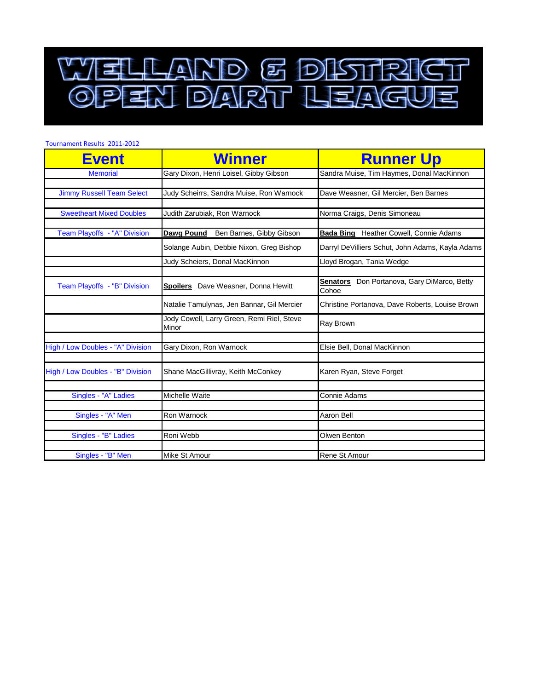

| <b>Tournament Results 2011-2012</b> |                                                     |                                                                |
|-------------------------------------|-----------------------------------------------------|----------------------------------------------------------------|
| <b>Event</b>                        | <b>Winner</b>                                       | <b>Runner Up</b>                                               |
| <b>Memorial</b>                     | Gary Dixon, Henri Loisel, Gibby Gibson              | Sandra Muise, Tim Haymes, Donal MacKinnon                      |
| <b>Jimmy Russell Team Select</b>    | Judy Scheirrs, Sandra Muise, Ron Warnock            | Dave Weasner, Gil Mercier, Ben Barnes                          |
| <b>Sweetheart Mixed Doubles</b>     | Judith Zarubiak, Ron Warnock                        | Norma Craigs, Denis Simoneau                                   |
| Team Playoffs - "A" Division        | Dawg Pound<br>Ben Barnes, Gibby Gibson              | <b>Bada Bing</b> Heather Cowell, Connie Adams                  |
|                                     | Solange Aubin, Debbie Nixon, Greg Bishop            | Darryl DeVilliers Schut, John Adams, Kayla Adams               |
|                                     | Judy Scheiers, Donal MacKinnon                      | Lloyd Brogan, Tania Wedge                                      |
|                                     |                                                     |                                                                |
| Team Playoffs - "B" Division        | Spoilers Dave Weasner, Donna Hewitt                 | Don Portanova, Gary DiMarco, Betty<br><b>Senators</b><br>Cohoe |
|                                     | Natalie Tamulynas, Jen Bannar, Gil Mercier          | Christine Portanova, Dave Roberts, Louise Brown                |
|                                     | Jody Cowell, Larry Green, Remi Riel, Steve<br>Minor | Ray Brown                                                      |
| High / Low Doubles - "A" Division   | Gary Dixon, Ron Warnock                             | Elsie Bell, Donal MacKinnon                                    |
| High / Low Doubles - "B" Division   | Shane MacGillivray, Keith McConkey                  | Karen Ryan, Steve Forget                                       |
| Singles - "A" Ladies                | Michelle Waite                                      | Connie Adams                                                   |
|                                     |                                                     |                                                                |
| Singles - "A" Men                   | Ron Warnock                                         | Aaron Bell                                                     |
| Singles - "B" Ladies                | Roni Webb                                           | Olwen Benton                                                   |
|                                     |                                                     |                                                                |
| Singles - "B" Men                   | Mike St Amour                                       | Rene St Amour                                                  |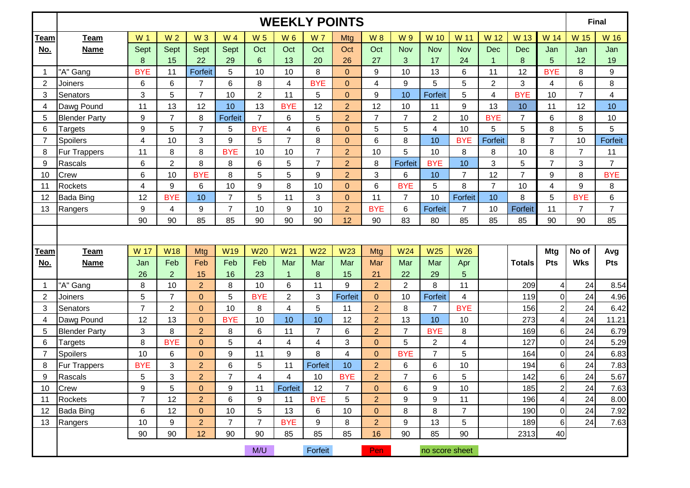|                |                      |                  |                 |                  |                 |                         |                         |                | <b>WEEKLY POINTS</b> |                         |                |                  |                         |                |                  |                         |                | Final          |
|----------------|----------------------|------------------|-----------------|------------------|-----------------|-------------------------|-------------------------|----------------|----------------------|-------------------------|----------------|------------------|-------------------------|----------------|------------------|-------------------------|----------------|----------------|
| <b>Team</b>    | Team                 | W <sub>1</sub>   | W <sub>2</sub>  | W <sub>3</sub>   | W 4             | <b>W5</b>               | W 6                     | <b>W7</b>      | <b>Mtg</b>           | <b>W8</b>               | W 9            | <b>W</b> 10      | W 11                    | W 12           | W 13             | W 14                    | W 15           | W 16           |
| No.            | <b>Name</b>          | Sept             | Sept            | Sept             | Sept            | Oct                     | Oct                     | Oct            | Oct                  | Oct                     | Nov            | Nov              | Nov                     | <b>Dec</b>     | Dec              | Jan                     | Jan            | Jan            |
|                |                      | $\boldsymbol{8}$ | 15              | 22               | 29              | $\,6$                   | 13                      | 20             | 26                   | 27                      | 3              | 17               | 24                      | 1              | $\boldsymbol{8}$ | 5                       | 12             | 19             |
| 1              | "A" Gang             | <b>BYE</b>       | 11              | Forfeit          | 5               | 10                      | 10                      | 8              | $\overline{0}$       | 9                       | 10             | 13               | 6                       | 11             | 12               | <b>BYE</b>              | 8              | 9              |
| $\overline{2}$ | Joiners              | 6                | $6\phantom{1}6$ | $\overline{7}$   | 6               | 8                       | $\overline{\mathbf{4}}$ | <b>BYE</b>     | $\mathbf{0}$         | $\overline{\mathbf{4}}$ | 9              | 5                | 5                       | $\overline{2}$ | 3                | 4                       | 6              | 8              |
| 3              | Senators             | 3                | 5               | $\overline{7}$   | 10              | $\overline{c}$          | 11                      | 5              | $\mathbf 0$          | $\boldsymbol{9}$        | 10             | Forfeit          | 5                       | 4              | <b>BYE</b>       | 10                      | $\overline{7}$ | 4              |
| 4              | Dawg Pound           | 11               | 13              | 12               | 10              | 13                      | <b>BYE</b>              | 12             | $\overline{2}$       | 12                      | 10             | 11               | 9                       | 13             | 10               | 11                      | 12             | 10             |
| 5              | <b>Blender Party</b> | 9                | $\overline{7}$  | 8                | Forfeit         | $\overline{7}$          | 6                       | 5              | $\overline{2}$       | $\overline{7}$          | $\overline{7}$ | $\boldsymbol{2}$ | 10                      | <b>BYE</b>     | $\overline{7}$   | 6                       | 8              | 10             |
| 6              | Targets              | 9                | 5               | $\overline{7}$   | 5               | <b>BYE</b>              | 4                       | 6              | $\mathbf 0$          | $\overline{5}$          | 5              | 4                | 10                      | 5              | 5                | 8                       | 5              | 5              |
| 7              | Spoilers             | 4                | 10              | 3                | 9               | 5                       | $\overline{7}$          | 8              | $\mathbf 0$          | $\,6$                   | 8              | 10               | <b>BYE</b>              | Forfeit        | 8                | $\overline{7}$          | 10             | Forfeit        |
| 8              | <b>Fur Trappers</b>  | 11               | 8               | 8                | <b>BYE</b>      | 10                      | 10                      | $\overline{7}$ | $\overline{2}$       | 10                      | 5              | 10               | 8                       | 8              | 10               | 8                       | $\overline{7}$ | 11             |
| 9              | Rascals              | 6                | $\overline{c}$  | 8                | 8               | 6                       | 5                       | $\overline{7}$ | $\overline{2}$       | 8                       | Forfeit        | <b>BYE</b>       | 10                      | 3              | 5                | $\overline{7}$          | 3              | $\overline{7}$ |
| 10             | Crew                 | 6                | 10              | <b>BYE</b>       | 8               | 5                       | 5                       | 9              | $\overline{2}$       | $\mathbf{3}$            | 6              | 10               | $\overline{7}$          | 12             | $\overline{7}$   | $9\,$                   | 8              | <b>BYE</b>     |
| 11             | <b>Rockets</b>       | 4                | 9               | 6                | 10              | 9                       | 8                       | 10             | $\mathbf 0$          | $\,6$                   | <b>BYE</b>     | 5                | 8                       | $\overline{7}$ | 10               | 4                       | 9              | 8              |
| 12             | <b>Bada Bing</b>     | 12               | <b>BYE</b>      | 10               | $\overline{7}$  | 5                       | 11                      | 3              | $\mathbf 0$          | 11                      | $\overline{7}$ | 10               | Forfeit                 | 10             | 8                | 5                       | <b>BYE</b>     | 6              |
| 13             | Rangers              | 9                | 4               | $\boldsymbol{9}$ | $\overline{7}$  | 10                      | $\boldsymbol{9}$        | 10             | $\overline{2}$       | <b>BYE</b>              | 6              | <b>Forfeit</b>   | $\overline{7}$          | 10             | Forfeit          | 11                      | $\overline{7}$ | $\overline{7}$ |
|                |                      | 90               | 90              | 85               | 85              | 90                      | 90                      | 90             | 12                   | 90                      | 83             | 80               | 85                      | 85             | 85               | 90                      | 90             | 85             |
|                |                      |                  |                 |                  |                 |                         |                         |                |                      |                         |                |                  |                         |                |                  |                         |                |                |
| <b>Team</b>    | <b>Team</b>          | W 17             | <b>W18</b>      | Mtg              | W <sub>19</sub> | <b>W20</b>              | W <sub>21</sub>         | <b>W22</b>     | <b>W23</b>           | Mtg                     | <b>W24</b>     | <b>W25</b>       | <b>W26</b>              |                |                  | <b>Mtg</b>              | No of          | Avg            |
| No.            | <b>Name</b>          | Jan              | Feb             | Feb              | Feb             | Feb                     | Mar                     | Mar            | Mar                  | Mar                     | Mar            | Mar              | Apr                     |                | <b>Totals</b>    | <b>Pts</b>              | <b>Wks</b>     | Pts            |
|                |                      | 26               | $\overline{2}$  | 15               | 16              | 23                      | $\mathbf{1}$            | 8              | 15                   | 21                      | 22             | 29               | 5                       |                |                  |                         |                |                |
|                | "A" Gang             | 8                | 10              | $\overline{2}$   | 8               | 10                      | 6                       | 11             | 9                    | $\overline{2}$          | $\overline{2}$ | 8                | 11                      |                | 209              | $\vert$                 | 24             | 8.54           |
| $\sqrt{2}$     | Joiners              | 5                | $\overline{7}$  | $\overline{0}$   | 5               | <b>BYE</b>              | $\overline{2}$          | 3              | Forfeit              | $\overline{0}$          | 10             | Forfeit          | $\overline{\mathbf{4}}$ |                | 119              | $\overline{0}$          | 24             | 4.96           |
| 3              | Senators             | $\overline{7}$   | $\overline{2}$  | $\mathbf{0}$     | 10              | 8                       | 4                       | 5              | 11                   | $\overline{2}$          | 8              | $\overline{7}$   | <b>BYE</b>              |                | 156              | $\mathbf{2}$            | 24             | 6.42           |
| 4              | Dawg Pound           | 12               | 13              | $\mathbf{0}$     | <b>BYE</b>      | 10                      | 10                      | 10             | 12                   | $\overline{2}$          | 13             | 10               | 10                      |                | 273              | $\overline{\mathbf{4}}$ | 24             | 11.21          |
| 5              | <b>Blender Party</b> | 3                | 8               | $\overline{2}$   | 8               | 6                       | 11                      | $\overline{7}$ | 6                    | $\overline{2}$          | $\overline{7}$ | <b>BYE</b>       | 8                       |                | 169              | $6 \overline{6}$        | 24             | 6.79           |
| 6              | Targets              | 8                | <b>BYE</b>      | $\mathbf{0}$     | 5               | $\overline{\mathbf{4}}$ | 4                       | 4              | 3                    | $\mathbf{0}$            | 5              | $\overline{2}$   | $\overline{\mathbf{4}}$ |                | 127              | $\overline{0}$          | 24             | 5.29           |
| 7              | Spoilers             | 10               | 6               | $\mathbf{0}$     | 9               | 11                      | $\boldsymbol{9}$        | 8              | 4                    | $\overline{0}$          | <b>BYE</b>     | $\overline{7}$   | 5                       |                | 164              | $\overline{0}$          | 24             | 6.83           |
| 8              | Fur Trappers         | <b>BYE</b>       | 3               | $\overline{2}$   | 6               | 5                       | 11                      | Forfeit        | 10                   | $\overline{2}$          | 6              | 6                | 10                      |                | 194              | $6 \mid$                | 24             | 7.83           |
| 9              | Rascals              | 5                | 3               | $\overline{2}$   | $\overline{7}$  | 4                       | $\overline{\mathbf{4}}$ | $10$           | <b>BYE</b>           | $\overline{2}$          | $\overline{7}$ | 6                | 5                       |                | 142              | $6 \mid$                | 24             | 5.67           |
| 10             | Crew                 | 9                | 5               | $\overline{0}$   | 9               | 11                      | Forfeit                 | 12             | $\overline{7}$       | $\overline{0}$          | 6              | 9                | 10                      |                | 185              | $\mathbf{2}$            | 24             | 7.63           |
| 11             | Rockets              | $\overline{7}$   | 12              | $\overline{2}$   | 6               | 9                       | 11                      | <b>BYE</b>     | 5                    | $\overline{2}$          | 9              | 9                | 11                      |                | 196              | $\overline{4}$          | 24             | 8.00           |
| 12             | <b>Bada Bing</b>     | 6                | 12              | $\overline{0}$   | 10              | 5                       | 13                      | 6              | 10                   | $\mathbf{0}$            | 8              | 8                | $\overline{7}$          |                | 190              | $\overline{0}$          | 24             | 7.92           |
| 13             | Rangers              | 10               | 9               | $\overline{2}$   | $\overline{7}$  | $\overline{7}$          | <b>BYE</b>              | 9              | 8                    | $\overline{2}$          | 9              | 13               | 5                       |                | 189              | 6                       | 24             | 7.63           |
|                |                      | 90               | 90              | 12               | 90              | 90                      | 85                      | 85             | 85                   | 16                      | 90             | 85               | 90                      |                | 2313             | 40                      |                |                |
|                |                      |                  |                 |                  |                 | M/U                     |                         | Forfeit        |                      | Pen                     |                | no score sheet   |                         |                |                  |                         |                |                |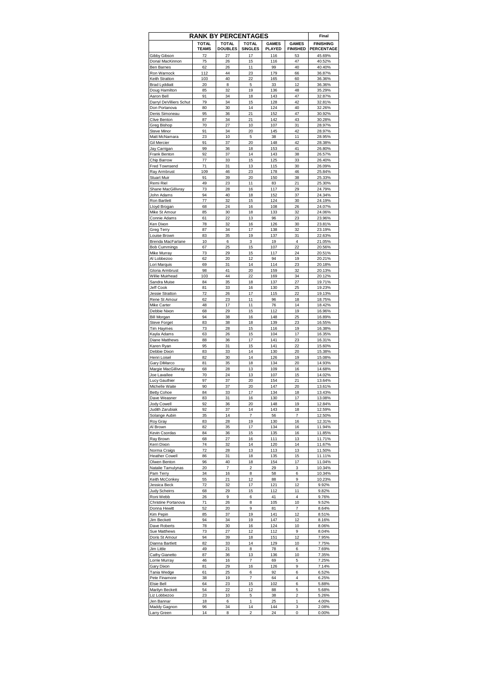|                                        |                              | <b>RANK BY PERCENTAGES</b>     |                                |                               |                                 | Final                          |
|----------------------------------------|------------------------------|--------------------------------|--------------------------------|-------------------------------|---------------------------------|--------------------------------|
|                                        | <b>TOTAL</b><br><b>TEAMS</b> | <b>TOTAL</b><br><b>DOUBLES</b> | <b>TOTAL</b><br><b>SINGLES</b> | <b>GAMES</b><br><b>PLAYED</b> | <b>GAMES</b><br><b>FINISHED</b> | <b>FINISHING</b><br>PERCENTAGE |
| Gibby Gibson                           | 72                           | 27                             | 17                             | 116                           | 53                              | 45.69%                         |
| Donal MacKinnon                        | 75                           | 26                             | 15                             | 116                           | 47                              | 40.52%                         |
| Ben Barnes                             | 62                           | 26                             | 11                             | 99                            | 40                              | 40.40%                         |
| Ron Warnock                            | 112                          | 44                             | 23                             | 179                           | 66                              | 36.87%                         |
| Keith Stratton<br><b>Brad Lyddiatt</b> | 103<br>20                    | 40<br>8                        | 22<br>5                        | 165<br>33                     | 60<br>12                        | 36.36%<br>36.36%               |
| Doug Hamilton                          | 85                           | 32                             | 19                             | 136                           | 48                              | 35.29%                         |
| Aaron Bell                             | 91                           | 34                             | 18                             | 143                           | 47                              | 32.87%                         |
| Darryl DeVilliers Schut                | 79                           | 34                             | 15                             | 128                           | 42                              | 32.81%                         |
| Don Portanova                          | 80                           | 30                             | 14                             | 124                           | 40                              | 32.26%                         |
| Denis Simoneau                         | 95                           | 36                             | 21                             | 152                           | 47                              | 30.92%                         |
| Clive Benton                           | 87                           | 34                             | 21                             | 142                           | 43                              | 30.28%                         |
| Greg Bishop                            | 70                           | 27                             | 10                             | 107                           | 31                              | 28.97%                         |
| Steve Minor                            | 91                           | 34                             | 20                             | 145                           | 42                              | 28.97%                         |
| Matt McNamara<br>Gil Mercier           | 23<br>91                     | 10<br>37                       | 5<br>20                        | 38<br>148                     | 11<br>42                        | 28.95%<br>28.38%               |
| Jay Carrigan                           | 99                           | 36                             | 18                             | 153                           | 41                              | 26.80%                         |
| Frank Benton                           | 92                           | 37                             | 14                             | 143                           | 38                              | 26.57%                         |
| Chip Barrow                            | 77                           | 33                             | 15                             | 125                           | 33                              | 26.40%                         |
| Fred Townsend                          | 71                           | 31                             | 13                             | 115                           | 30                              | 26.09%                         |
| Ray Armbrust                           | 109                          | 46                             | 23                             | 178                           | 46                              | 25.84%                         |
| <b>Stuart Muir</b>                     | 91                           | 39                             | 20                             | 150                           | 38                              | 25.33%                         |
| Remi Riel                              | 49                           | 23                             | 11                             | 83                            | 21                              | 25.30%                         |
| Shane MacGillivray                     | 73                           | 28                             | 16                             | 117                           | 29                              | 24.79%                         |
| John Adams                             | 94                           | 40                             | 18                             | 152                           | 37                              | 24.34%                         |
| Ron Bartlett                           | 77                           | 32                             | 15                             | 124                           | 30                              | 24.19%                         |
| Lloyd Brogan                           | 68<br>85                     | 24<br>30                       | 16<br>18                       | 108<br>133                    | 26                              | 24.07%                         |
| Mike St Amour<br>Connie Adams          | 61                           | 22                             | 13                             | 96                            | 32<br>23                        | 24.06%<br>23.96%               |
| Ken Dixon                              | 78                           | 32                             | 16                             | 126                           | 30                              | 23.81%                         |
| Greg Terry                             | 87                           | 34                             | 17                             | 138                           | 32                              | 23.19%                         |
| Louise Brown                           | 83                           | 35                             | 19                             | 137                           | 31                              | 22.63%                         |
| Brenda MacFarlane                      | 10                           | 6                              | 3                              | 19                            | 4                               | 21.05%                         |
| <b>Bob Cummings</b>                    | 67                           | 25                             | 15                             | 107                           | 22                              | 20.56%                         |
| Mike Murray                            | 73                           | 29                             | 15                             | 117                           | 24                              | 20.51%                         |
| Al Lobbezoo                            | 62                           | 20                             | 12                             | 94                            | 19                              | 20.21%                         |
| Lori Marquis                           | 69                           | 31                             | 14                             | 114                           | 23                              | 20.18%                         |
| Gloria Armbrust                        | 98                           | 41                             | 20                             | 159                           | 32                              | 20.13%                         |
| Willie Muirhead                        | 103                          | 44                             | 22                             | 169                           | 34                              | 20.12%                         |
| Sandra Muise<br>Jeff Cook              | 84<br>81                     | 35<br>33                       | 18<br>16                       | 137<br>130                    | 27<br>25                        | 19.71%<br>19.23%               |
| Jessie Stratton                        | 72                           | 26                             | 17                             | 115                           | 22                              | 19.13%                         |
| Rene St Amour                          | 62                           | 23                             | 11                             | 96                            | 18                              | 18.75%                         |
| Mike Carter                            | 48                           | 17                             | 11                             | 76                            | 14                              | 18.42%                         |
| Debbie Nixon                           | 68                           | 29                             | 15                             | 112                           | 19                              | 16.96%                         |
| <b>Bill Morgan</b>                     | 94                           | 38                             | 16                             | 148                           | 25                              | 16.89%                         |
| Steve Forget                           | 83                           | 38                             | 18                             | 139                           | 23                              | 16.55%                         |
| Tim Haymes                             | 73                           | 28                             | 15                             | 116                           | 19                              | 16.38%                         |
| Kayla Adams                            | 63                           | 26                             | 15                             | 104                           | 17                              | 16.35%                         |
| Diane Matthews                         | 88                           | 36                             | 17                             | 141                           | 23                              | 16.31%                         |
| Karen Ryan                             | 95                           | 31                             | 15                             | 141                           | 22                              | 15.60%                         |
| Debbie Dixon                           | 83                           | 33                             | 14                             | 130                           | 20                              | 15.38%                         |
| Henri Loisel<br>Garv DiMarco           | 82<br>81                     | 30<br>35                       | 14<br>18                       | 126<br>134                    | 19<br>20                        | 15.08%<br>14.93%               |
| Margie MacGillivray                    | 68                           | 28                             | 13                             | 109                           | 16                              | 14.68%                         |
| Joe Lavallee                           | 70                           | 24                             | 13                             | 107                           | 15                              | 14.02%                         |
| Lucy Gauthier                          | 97                           | 37                             | 20                             | 154                           | 21                              | 13.64%                         |
| Michelle Waite                         | 90                           | 37                             | 20                             | 147                           | 20                              | 13.61%                         |
| <b>Betty Cohoe</b>                     | 84                           | 33                             | 17                             | 134                           | 18                              | 13.43%                         |
| Dave Weasner                           | 83                           | 31                             | 16                             | 130                           | 17                              | 13.08%                         |
| Jody Cowell                            | 92                           | 36                             | 20                             | 148                           | 19                              | 12.84%                         |
| Judith Zarubiak                        | 92                           | 37                             | 14                             | 143                           | 18                              | 12.59%                         |
| Solange Aubin                          | 35                           | 14                             | 7                              | 56                            | 7                               | 12.50%                         |
| Roy Gray                               | 83                           | 28                             | 19                             | 130                           | 16                              | 12.31%                         |
| Al Brown<br>Kevin Csordas              | 82<br>84                     | 35<br>36                       | 17<br>15                       | 134<br>135                    | 16                              | 11.94%<br>11.85%               |
| Ray Brown                              | 68                           | 27                             | 16                             | 111                           | 16<br>13                        | 11.71%                         |
| Kerri Dixon                            | 74                           | 32                             | 14                             | 120                           | 14                              | 11.67%                         |
| Norma Craigs                           | 72                           | 28                             | 13                             | 113                           | 13                              | 11.50%                         |
| <b>Heather Cowell</b>                  | 86                           | 31                             | 18                             | 135                           | 15                              | 11.11%                         |
| Olwen Benton                           | 96                           | 40                             | 18                             | 154                           | 17                              | 11.04%                         |
| Natalie Tamulynas                      | 20                           | 7                              | 2                              | 29                            | 3                               | 10.34%                         |
| Pam Terry                              | 34                           | 16                             | 8                              | 58                            | 6                               | 10.34%                         |
| Keith McConkey                         | 55                           | 21                             | 12                             | 88                            | 9                               | 10.23%                         |
| Jessica Beck                           | 72                           | 32                             | 17                             | 121                           | 12                              | 9.92%                          |
| Judy Scheirrs                          | 68                           | 29                             | 15                             | 112                           | 11                              | 9.82%                          |
| Roni Webb                              | 26<br>71                     | 9<br>26                        | 6<br>8                         | 41<br>105                     | 4<br>10                         | 9.76%<br>9.52%                 |
| Christine Portanova<br>Donna Hewitt    | 52                           | 20                             | 9                              | 81                            | 7                               | 8.64%                          |
| Kim Pepin                              | 85                           | 37                             | 19                             | 141                           | 12                              | 8.51%                          |
| Jim Beckett                            | 94                           | 34                             | 19                             | 147                           | 12                              | 8.16%                          |
| Dave Roberts                           | 78                           | 30                             | 16                             | 124                           | 10                              | 8.06%                          |
| Sue Matthews                           | 73                           | 27                             | 12                             | 112                           | 9                               | 8.04%                          |
| Doris St Amour                         | 94                           | 39                             | 18                             | 151                           | 12                              | 7.95%                          |
| Dianna Bartlett                        | 82                           | 33                             | 14                             | 129                           | 10                              | 7.75%                          |
| Jim Little                             | 49                           | 21                             | 8                              | 78                            | 6                               | 7.69%                          |
| Cathy Gianetto                         | 87                           | 36                             | 13                             | 136                           | 10                              | 7.35%                          |
| Lorrie Murray                          | 46                           | 16                             | 7                              | 69                            | 5                               | 7.25%                          |
| <b>Gary Dixon</b>                      | 81                           | 29                             | 16                             | 126                           | 9                               | 7.14%                          |
| Tania Wedge                            | 61                           | 25                             | 6                              | 92                            | 6                               | 6.52%                          |
| Pete Finamore<br>Elsie Bell            | 38<br>64                     | 19<br>23                       | 7<br>15                        | 64<br>102                     | 4<br>6                          | 6.25%<br>5.88%                 |
| Marilyn Beckett                        | 54                           | 22                             | 12                             | 88                            | 5                               | 5.68%                          |
| Liz Lobbezoo                           | 23                           | 10                             | 5                              | 38                            | $\overline{2}$                  | 5.26%                          |
| Jen Bannar                             | 18                           | 6                              | 1                              | 25                            | 1                               | 4.00%                          |
| Maddy Gagnon                           | 96                           | 34                             | 14                             | 144                           | 3                               | 2.08%                          |
| Larry Green                            | 14                           | 8                              | $\overline{\mathbf{c}}$        | 24                            | 0                               | 0.00%                          |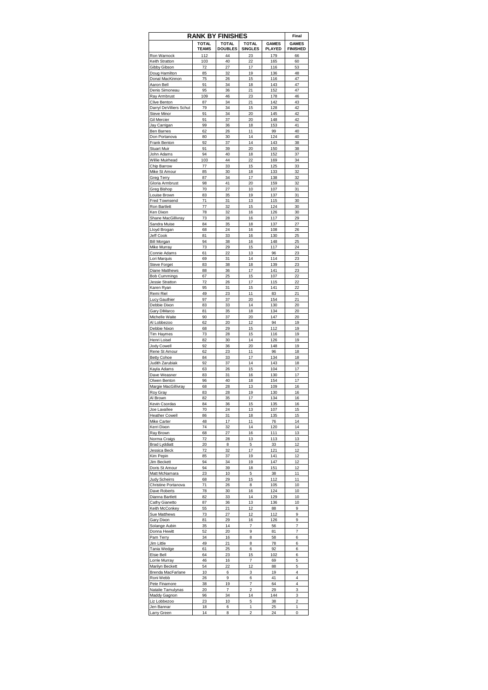|                                        |                              | <b>RANK BY FINISHES</b>        |                                |                               | Final                           |
|----------------------------------------|------------------------------|--------------------------------|--------------------------------|-------------------------------|---------------------------------|
|                                        | <b>TOTAL</b><br><b>TEAMS</b> | <b>TOTAL</b><br><b>DOUBLES</b> | <b>TOTAL</b><br><b>SINGLES</b> | <b>GAMES</b><br><b>PLAYED</b> | <b>GAMES</b><br><b>FINISHED</b> |
| Ron Warnock                            | 112                          | 44                             | 23                             | 179                           | 66                              |
| Keith Stratton                         | 103                          | 40                             | 22                             | 165                           | 60                              |
| Gibby Gibson                           | 72                           | 27                             | 17                             | 116                           | 53                              |
| Doug Hamilton<br>Donal MacKinnon       | 85<br>75                     | 32<br>26                       | 19<br>15                       | 136<br>116                    | 48<br>47                        |
| Aaron Bell                             | 91                           | 34                             | 18                             | 143                           | 47                              |
| Denis Simoneau                         | 95                           | 36                             | 21                             | 152                           | 47                              |
| Ray Armbrust                           | 109                          | 46                             | 23                             | 178                           | 46                              |
| Clive Benton                           | 87                           | 34                             | 21                             | 142                           | 43                              |
| Darryl DeVilliers Schut<br>Steve Minor | 79                           | 34                             | 15                             | 128                           | 42<br>42                        |
| Gil Mercier                            | 91<br>91                     | 34<br>37                       | 20<br>20                       | 145<br>148                    | 42                              |
| Jay Carrigan                           | 99                           | 36                             | 18                             | 153                           | 41                              |
| Ben Barnes                             | 62                           | 26                             | 11                             | 99                            | 40                              |
| Don Portanova                          | 80                           | 30                             | 14                             | 124                           | 40                              |
| Frank Benton                           | 92                           | 37                             | 14                             | 143                           | 38                              |
| <b>Stuart Muir</b>                     | 91                           | 39                             | 20                             | 150                           | 38                              |
| John Adams<br>Willie Muirhead          | 94                           | 40<br>44                       | 18<br>22                       | 152                           | 37<br>34                        |
| Chip Barrow                            | 103<br>77                    | 33                             | 15                             | 169<br>125                    | 33                              |
| Mike St Amour                          | 85                           | 30                             | 18                             | 133                           | 32                              |
| Greg Terry                             | 87                           | 34                             | 17                             | 138                           | 32                              |
| Gloria Armbrust                        | 98                           | 41                             | 20                             | 159                           | 32                              |
| Greg Bishop                            | 70                           | 27                             | 10                             | 107                           | 31                              |
| Louise Brown                           | 83                           | 35                             | 19                             | 137                           | 31                              |
| Fred Townsend                          | 71                           | 31                             | 13                             | 115                           | 30                              |
| Ron Bartlett                           | 77                           | 32                             | 15                             | 124                           | 30<br>30                        |
| Ken Dixon<br>Shane MacGillivray        | 78<br>73                     | 32<br>28                       | 16<br>16                       | 126<br>117                    | 29                              |
| Sandra Muise                           | 84                           | 35                             | 18                             | 137                           | 27                              |
| Lloyd Brogan                           | 68                           | 24                             | 16                             | 108                           | 26                              |
| Jeff Cook                              | 81                           | 33                             | 16                             | 130                           | 25                              |
| Bill Morgan                            | 94                           | 38                             | 16                             | 148                           | 25                              |
| Mike Murray                            | 73                           | 29                             | 15                             | 117                           | 24                              |
| Connie Adams                           | 61                           | 22                             | 13                             | 96                            | 23                              |
| Lori Marquis                           | 69                           | 31                             | 14                             | 114                           | 23                              |
| <b>Steve Forget</b>                    | 83                           | 38                             | 18                             | 139                           | 23                              |
| Diane Matthews<br>Bob Cummings         | 88<br>67                     | 36<br>25                       | 17<br>15                       | 141<br>107                    | 23<br>22                        |
| Jessie Stratton                        | 72                           | 26                             | 17                             | 115                           | 22                              |
| Karen Ryan                             | 95                           | 31                             | 15                             | 141                           | 22                              |
| Remi Riel                              | 49                           | 23                             | 11                             | 83                            | 21                              |
| Lucy Gauthier                          | 97                           | 37                             | 20                             | 154                           | 21                              |
| Debbie Dixon                           | 83                           | 33                             | 14                             | 130                           | 20                              |
| Gary DiMarco                           | 81                           | 35                             | 18                             | 134                           | 20                              |
| Michelle Waite<br>Al Lobbezoo          | 90                           | 37                             | 20<br>12                       | 147<br>94                     | 20                              |
| Debbie Nixon                           | 62<br>68                     | 20<br>29                       | 15                             | 112                           | 19<br>19                        |
| Tim Haymes                             | 73                           | 28                             | 15                             | 116                           | 19                              |
| Henri Loisel                           | 82                           | 30                             | 14                             | 126                           | 19                              |
| Jody Cowell                            | 92                           | 36                             | 20                             | 148                           | 19                              |
| Rene St Amour                          | 62                           | 23                             | 11                             | 96                            | 18                              |
| <b>Betty Cohoe</b>                     | 84                           | 33                             | 17                             | 134                           | 18                              |
| Judith Zarubiak<br>Kayla Adams         | 92<br>63                     | 37<br>26                       | 14<br>15                       | 143<br>104                    | 18<br>17                        |
| Dave Weasner                           | 83                           | 31                             | 16                             | 130                           | 17                              |
| Olwen Benton                           | 96                           | 40                             | 18                             | 154                           | 17                              |
| Margie MacGillivray                    | 68                           | 28                             | 13                             | 109                           | 16                              |
| Roy Gray                               | 83                           | 28                             | 19                             | 130                           | 16                              |
| Al Brown                               | 82                           | 35                             | 17                             | 134                           | 16                              |
| Kevin Csordas                          | 84                           | 36                             | 15                             | 135                           | 16                              |
| Joe Lavallee                           | 70                           | 24                             | 13<br>18                       | 107                           | 15<br>15                        |
| <b>Heather Cowell</b><br>Mike Carter   | 86<br>48                     | 31<br>17                       | 11                             | 135<br>76                     | 14                              |
| Kerri Dixon                            | 74                           | 32                             | 14                             | 120                           | 14                              |
| Ray Brown                              | 68                           | 27                             | 16                             | 111                           | 13                              |
| Norma Craigs                           | 72                           | 28                             | 13                             | 113                           | 13                              |
| <b>Brad Lyddiatt</b>                   | 20                           | 8                              | 5                              | 33                            | 12                              |
| Jessica Beck                           | 72                           | 32                             | 17                             | 121                           | 12                              |
| Kim Pepin                              | 85                           | 37                             | 19                             | 141                           | 12                              |
| Jim Beckett<br>Doris St Amour          | 94<br>94                     | 34<br>39                       | 19<br>18                       | 147<br>151                    | 12<br>12                        |
| Matt McNamara                          | 23                           | 10                             | 5                              | 38                            | 11                              |
| Judy Scheirrs                          | 68                           | 29                             | 15                             | 112                           | 11                              |
| Christine Portanova                    | 71                           | 26                             | 8                              | 105                           | 10                              |
| Dave Roberts                           | 78                           | 30                             | 16                             | 124                           | 10                              |
| Dianna Bartlett                        | 82                           | 33                             | 14                             | 129                           | 10                              |
| <b>Cathy Gianetto</b>                  | 87                           | 36                             | 13                             | 136                           | 10                              |
| Keith McConkey                         | 55                           | 21                             | 12                             | 88                            | 9                               |
| Sue Matthews                           | 73                           | 27<br>29                       | 12<br>16                       | 112                           | 9<br>9                          |
| Gary Dixon<br>Solange Aubin            | 81<br>35                     | 14                             | 7                              | 126<br>56                     | 7                               |
| Donna Hewitt                           | 52                           | 20                             | 9                              | 81                            | 7                               |
| Pam Terry                              | 34                           | 16                             | 8                              | 58                            | 6                               |
| Jim Little                             | 49                           | 21                             | 8                              | 78                            | 6                               |
| Tania Wedge                            | 61                           | 25                             | 6                              | 92                            | 6                               |
| Elsie Bell                             | 64                           | 23                             | 15                             | 102                           | 6                               |
| Lorrie Murray                          | 46                           | 16                             | 7                              | 69                            | 5                               |
| Marilyn Beckett                        | 54                           | 22                             | 12                             | 88                            | 5                               |
| Brenda MacFarlane                      | 10                           | 6                              | 3                              | 19                            | 4                               |
| Roni Webb<br>Pete Finamore             | 26<br>38                     | 9<br>19                        | 6<br>7                         | 41<br>64                      | 4<br>4                          |
| Natalie Tamulynas                      | 20                           | 7                              | 2                              | 29                            | 3                               |
| Maddy Gagnon                           | 96                           | 34                             | 14                             | 144                           | 3                               |
| Liz Lobbezoo                           | 23                           | 10                             | 5                              | 38                            | 2                               |
| Jen Bannar                             | 18                           | 6                              | 1                              | 25                            | 1                               |
| Larry Green                            | 14                           | 8                              | $\overline{2}$                 | 24                            | 0                               |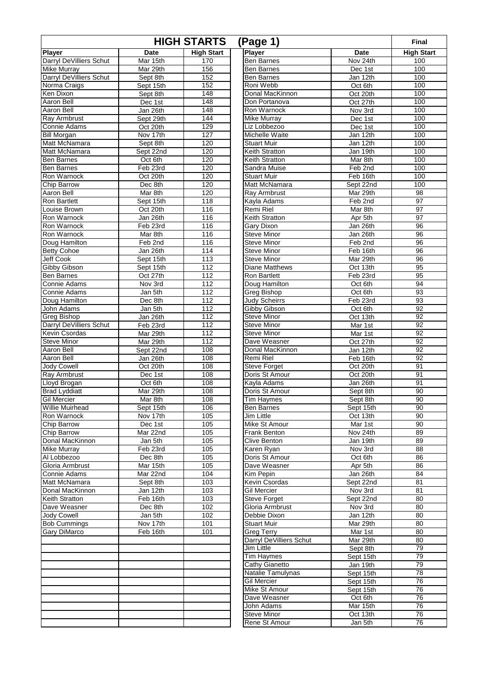| <b>HIGH STARTS</b><br>(Page 1) |                       |                   |                                         |                               |                   |  |
|--------------------------------|-----------------------|-------------------|-----------------------------------------|-------------------------------|-------------------|--|
| <b>Player</b>                  | Date                  | <b>High Start</b> | Player                                  | Date                          | <b>High Start</b> |  |
| Darryl DeVilliers Schut        | Mar 15th              | 170               | <b>Ben Barnes</b>                       | Nov 24th                      | 100               |  |
| Mike Murray                    | Mar 29th              | 156               | <b>Ben Barnes</b>                       | Dec 1st                       | 100               |  |
| Darryl DeVilliers Schut        | Sept 8th              | 152               | <b>Ben Barnes</b>                       | Jan 12th                      | 100               |  |
| Norma Craigs                   | Sept 15th             | 152               | Roni Webb                               | Oct 6th                       | 100               |  |
| Ken Dixon                      | Sept 8th              | 148               | Donal MacKinnon                         | Oct 20th                      | 100               |  |
| Aaron Bell                     | Dec 1st               | 148               | Don Portanova                           | Oct 27th                      | 100               |  |
| Aaron Bell                     | Jan 26th              | 148<br>144        | Ron Warnock                             | Nov 3rd                       | 100               |  |
| Ray Armbrust<br>Connie Adams   | Sept 29th<br>Oct 20th | 129               | Mike Murray<br>Liz Lobbezoo             | Dec 1st                       | 100<br>100        |  |
| <b>Bill Morgan</b>             | Nov 17th              | 127               | Michelle Waite                          | Dec 1st<br>Jan 12th           | 100               |  |
| Matt McNamara                  | Sept 8th              | 120               | <b>Stuart Muir</b>                      | Jan 12th                      | 100               |  |
| Matt McNamara                  | Sept 22nd             | 120               | <b>Keith Stratton</b>                   | Jan 19th                      | 100               |  |
| Ben Barnes                     | Oct 6th               | 120               | Keith Stratton                          | Mar 8th                       | 100               |  |
| Ben Barnes                     | Feb 23rd              | 120               | Sandra Muise                            | Feb 2nd                       | 100               |  |
| Ron Warnock                    | Oct 20th              | 120               | <b>Stuart Muir</b>                      | Feb 16th                      | 100               |  |
| Chip Barrow                    | Dec 8th               | 120               | Matt McNamara                           | Sept 22nd                     | 100               |  |
| Aaron Bell                     | Mar 8th               | 120               | Ray Armbrust                            | $\overline{\text{M}}$ ar 29th | 98                |  |
| Ron Bartlett                   | Sept 15th             | 118               | Kayla Adams                             | Feb 2nd                       | $\overline{97}$   |  |
| Louise Brown                   | Oct 20th              | 116               | <b>Remi Riel</b>                        | Mar 8th                       | $\overline{97}$   |  |
| Ron Warnock                    | Jan 26th              | 116               | Keith Stratton                          | Apr 5th                       | 97                |  |
| Ron Warnock                    | Feb 23rd              | 116               | Gary Dixon                              | Jan 26th                      | 96                |  |
| Ron Warnock                    | Mar 8th               | 116               | <b>Steve Minor</b>                      | Jan 26th                      | 96                |  |
| Doug Hamilton                  | Feb 2nd               | 116               | <b>Steve Minor</b>                      | Feb 2nd                       | 96                |  |
| <b>Betty Cohoe</b>             | Jan 26th              | 114               | <b>Steve Minor</b>                      | Feb 16th                      | 96                |  |
| <b>Jeff Cook</b>               | Sept 15th             | 113               | <b>Steve Minor</b>                      | Mar 29th                      | 96                |  |
| Gibby Gibson<br>Ben Barnes     | Sept 15th<br>Oct 27th | 112<br>112        | Diane Matthews<br><b>Ron Bartlett</b>   | Oct 13th<br>Feb 23rd          | 95<br>95          |  |
| Connie Adams                   | Nov 3rd               | 112               | Doug Hamilton                           | Oct 6th                       | $\overline{94}$   |  |
| Connie Adams                   | Jan 5th               | 112               | Greg Bishop                             | Oct 6th                       | 93                |  |
| Doug Hamilton                  | Dec 8th               | 112               | <b>Judy Scheirrs</b>                    | Feb 23rd                      | 93                |  |
| John Adams                     | Jan 5th               | 112               | Gibby Gibson                            | Oct 6th                       | 92                |  |
| Greg Bishop                    | Jan 26th              | 112               | <b>Steve Minor</b>                      | Oct 13th                      | 92                |  |
| Darryl DeVilliers Schut        | Feb 23rd              | 112               | Steve Minor                             | Mar 1st                       | 92                |  |
| Kevin Csordas                  | Mar 29th              | 112               | <b>Steve Minor</b>                      | Mar 1st                       | 92                |  |
| <b>Steve Minor</b>             | Mar 29th              | 112               | Dave Weasner                            | Oct 27th                      | 92                |  |
| Aaron Bell                     | Sept 22nd             | 108               | Donal MacKinnon                         | Jan 12th                      | 92                |  |
| Aaron Bell                     | Jan 26th              | 108               | Remi Riel                               | Feb 16th                      | 92                |  |
| Jody Cowell                    | Oct 20th              | 108               | <b>Steve Forget</b>                     | Oct 20th                      | 91                |  |
| Ray Armbrust                   | Dec 1st               | 108               | Doris St Amour                          | Oct 20th                      | 91                |  |
| Lloyd Brogan                   | Oct 6th               | 108               | Kayla Adams                             | Jan 26th                      | 91                |  |
| <b>Brad Lyddiatt</b>           | Mar 29th              | 108               | Doris St Amour                          | Sept 8th                      | 90                |  |
| <b>Gil Mercier</b>             | Mar 8th               | 108               | <b>Tim Haymes</b>                       | Sept 8th                      | 90                |  |
| <b>Willie Muirhead</b>         | Sept 15th             | 106               | <b>Ben Barnes</b>                       | Sept 15th                     | 90                |  |
| Ron Warnock                    | Nov 17th              | 105               | Jim Little                              | Oct 13th                      | 90                |  |
| Chip Barrow<br>Chip Barrow     | Dec 1st<br>Mar 22nd   | 105<br>105        | Mike St Amour<br>Frank Benton           | Mar 1st<br>Nov 24th           | 90<br>89          |  |
| Donal MacKinnon                | Jan 5th               | 105               | Clive Benton                            | Jan 19th                      | 89                |  |
| <b>Mike Murray</b>             | Feb 23rd              | 105               | Karen Ryan                              | Nov 3rd                       | 88                |  |
| Al Lobbezoo                    | Dec 8th               | 105               | Doris St Amour                          | Oct 6th                       | 86                |  |
| Gloria Armbrust                | Mar 15th              | 105               | Dave Weasner                            | Apr 5th                       | 86                |  |
| Connie Adams                   | Mar 22nd              | 104               | Kim Pepin                               | Jan 26th                      | 84                |  |
| Matt McNamara                  | Sept 8th              | 103               | Kevin Csordas                           | Sept 22nd                     | 81                |  |
| Donal MacKinnon                | Jan 12th              | 103               | <b>Gil Mercier</b>                      | Nov 3rd                       | 81                |  |
| Keith Stratton                 | Feb 16th              | 103               | Steve Forget                            | Sept 22nd                     | 80                |  |
| Dave Weasner                   | Dec 8th               | 102               | Gloria Armbrust                         | Nov 3rd                       | 80                |  |
| <b>Jody Cowell</b>             | Jan 5th               | 102               | Debbie Dixon                            | Jan 12th                      | 80                |  |
| <b>Bob Cummings</b>            | Nov 17th              | 101               | <b>Stuart Muir</b>                      | Mar 29th                      | 80                |  |
| Gary DiMarco                   | Feb <sub>16th</sub>   | 101               | <b>Greg Terry</b>                       | Mar 1st                       | 80                |  |
|                                |                       |                   | Darryl DeVilliers Schut                 | Mar 29th                      | 80                |  |
|                                |                       |                   | Jim Little                              | Sept 8th                      | 79                |  |
|                                |                       |                   | <b>Tim Haymes</b>                       | Sept 15th                     | 79                |  |
|                                |                       |                   | Cathy Gianetto                          | Jan 19th                      | 79                |  |
|                                |                       |                   | Natalie Tamulynas<br><b>Gil Mercier</b> | Sept 15th                     | 78                |  |
|                                |                       |                   | Mike St Amour                           | Sept 15th<br>Sept 15th        | 76<br>76          |  |
|                                |                       |                   | Dave Weasner                            | Oct 6th                       | 76                |  |
|                                |                       |                   | John Adams                              | Mar 15th                      | 76                |  |
|                                |                       |                   | Steve Minor                             | Oct 13th                      | 76                |  |
|                                |                       |                   | Rene St Amour                           | Jan 5th                       | 76                |  |
|                                |                       |                   |                                         |                               |                   |  |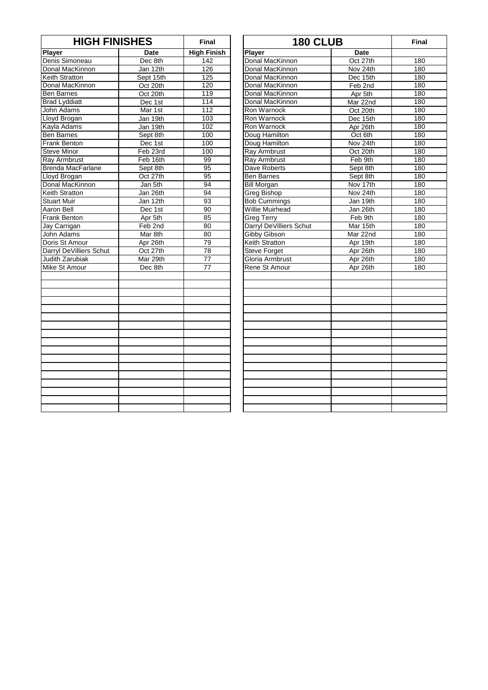| <b>HIGH FINISHES</b>    |           | <b>Final</b>       | <b>180 CLUB</b>         |             | Fina       |
|-------------------------|-----------|--------------------|-------------------------|-------------|------------|
| <b>Player</b>           | Date      | <b>High Finish</b> | Player                  | <b>Date</b> |            |
| Denis Simoneau          | Dec 8th   | 142                | Donal MacKinnon         | Oct 27th    | 180        |
| Donal MacKinnon         | Jan 12th  | 126                | Donal MacKinnon         | Nov 24th    | 180        |
| Keith Stratton          | Sept 15th | 125                | Donal MacKinnon         | Dec 15th    | 18C        |
| Donal MacKinnon         | Oct 20th  | 120                | Donal MacKinnon         | Feb 2nd     | 180        |
| <b>Ben Barnes</b>       | Oct 20th  | 119                | Donal MacKinnon         | Apr 5th     | <b>180</b> |
| <b>Brad Lyddiatt</b>    | Dec 1st   | 114                | Donal MacKinnon         | Mar 22nd    | 180        |
| John Adams              | Mar 1st   | 112                | Ron Warnock             | Oct 20th    | 18C        |
| Lloyd Brogan            | Jan 19th  | 103                | Ron Warnock             | Dec 15th    | 18C        |
| Kayla Adams             | Jan 19th  | 102                | Ron Warnock             | Apr 26th    | <b>180</b> |
| <b>Ben Barnes</b>       | Sept 8th  | 100                | Doug Hamilton           | Oct 6th     | 18C        |
| <b>Frank Benton</b>     | Dec 1st   | 100                | Doug Hamilton           | Nov 24th    | <b>180</b> |
| <b>Steve Minor</b>      | Feb 23rd  | 100                | <b>Ray Armbrust</b>     | Oct 20th    | 180        |
| Ray Armbrust            | Feb 16th  | 99                 | Ray Armbrust            | Feb 9th     | 18C        |
| Brenda MacFarlane       | Sept 8th  | 95                 | Dave Roberts            | Sept 8th    | 180        |
| Lloyd Brogan            | Oct 27th  | 95                 | <b>Ben Barnes</b>       | Sept 8th    | 180        |
| Donal MacKinnon         | Jan 5th   | 94                 | <b>Bill Morgan</b>      | Nov 17th    | 180        |
| <b>Keith Stratton</b>   | Jan 26th  | 94                 | <b>Greg Bishop</b>      | Nov 24th    | 180        |
| <b>Stuart Muir</b>      | Jan 12th  | 93                 | <b>Bob Cummings</b>     | Jan 19th    | 18C        |
| <b>Aaron Bell</b>       | Dec 1st   | $\overline{90}$    | <b>Willie Muirhead</b>  | Jan 26th    | <b>180</b> |
| <b>Frank Benton</b>     | Apr 5th   | 85                 | <b>Greg Terry</b>       | Feb 9th     | 180        |
| Jay Carrigan            | Feb 2nd   | 80                 | Darryl DeVilliers Schut | Mar 15th    | 18C        |
| John Adams              | Mar 8th   | 80                 | Gibby Gibson            | Mar 22nd    | 18C        |
| Doris St Amour          | Apr 26th  | 79                 | <b>Keith Stratton</b>   | Apr 19th    | 180        |
| Darryl DeVilliers Schut | Oct 27th  | 78                 | <b>Steve Forget</b>     | Apr 26th    | <b>180</b> |
| Judith Zarubiak         | Mar 29th  | $\overline{77}$    | Gloria Armbrust         | Apr 26th    | 180        |
| Mike St Amour           | Dec 8th   | $\overline{77}$    | <b>Rene St Amour</b>    | Apr 26th    | 18C        |
|                         |           |                    |                         |             |            |
|                         |           |                    |                         |             |            |
|                         |           |                    |                         |             |            |
|                         |           |                    |                         |             |            |
|                         |           |                    |                         |             |            |
|                         |           |                    |                         |             |            |
|                         |           |                    |                         |             |            |
|                         |           |                    |                         |             |            |
|                         |           |                    |                         |             |            |

| <b>HIGH FINISHES</b> |           | <b>Final</b>       | <b>180 CLUB</b>         |          | <b>Final</b> |
|----------------------|-----------|--------------------|-------------------------|----------|--------------|
|                      | Date      | <b>High Finish</b> | <b>Player</b>           | Date     |              |
| oneau                | Dec 8th   | 142                | Donal MacKinnon         | Oct 27th | 180          |
| <b>Kinnon</b>        | Jan 12th  | 126                | Donal MacKinnon         | Nov 24th | 180          |
| ton:                 | Sept 15th | $\overline{125}$   | Donal MacKinnon         | Dec 15th | 180          |
| :Kinnon              | Oct 20th  | 120                | Donal MacKinnon         | Feb 2nd  | 180          |
| S,                   | Oct 20th  | 119                | Donal MacKinnon         | Apr 5th  | 180          |
| iatt                 | Dec 1st   | 114                | Donal MacKinnon         | Mar 22nd | 180          |
| ns                   | Mar 1st   | 112                | Ron Warnock             | Oct 20th | 180          |
| ann                  | Jan 19th  | 103                | Ron Warnock             | Dec 15th | 180          |
| ms                   | Jan 19th  | 102                | Ron Warnock             | Apr 26th | 180          |
| ۱S                   | Sept 8th  | 100                | Doug Hamilton           | Oct 6th  | 180          |
| ton                  | Dec 1st   | 100                | Doug Hamilton           | Nov 24th | 180          |
| or                   | Feb 23rd  | 100                | <b>Ray Armbrust</b>     | Oct 20th | 180          |
| rust                 | Feb 16th  | $\overline{99}$    | Ray Armbrust            | Feb 9th  | 180          |
| acFarlane            | Sept 8th  | 95                 | Dave Roberts            | Sept 8th | 180          |
| jan                  | Oct 27th  | 95                 | <b>Ben Barnes</b>       | Sept 8th | 180          |
| <b>Kinnon</b>        | Jan 5th   | 94                 | <b>Bill Morgan</b>      | Nov 17th | 180          |
| ton                  | Jan 26th  | 94                 | <b>Greg Bishop</b>      | Nov 24th | 180          |
| r                    | Jan 12th  | 93                 | <b>Bob Cummings</b>     | Jan 19th | 180          |
|                      | Dec 1st   | 90                 | <b>Willie Muirhead</b>  | Jan 26th | 180          |
| ton                  | Apr 5th   | 85                 | <b>Greg Terry</b>       | Feb 9th  | 180          |
| an                   | Feb 2nd   | 80                 | Darryl DeVilliers Schut | Mar 15th | 180          |
| ns                   | Mar 8th   | 80                 | <b>Gibby Gibson</b>     | Mar 22nd | 180          |
| mour                 | Apr 26th  | 79                 | <b>Keith Stratton</b>   | Apr 19th | 180          |
| /illiers Schut       | Oct 27th  | 78                 | Steve Forget            | Apr 26th | 180          |
| ubiak                | Mar 29th  | $\overline{77}$    | Gloria Armbrust         | Apr 26th | 180          |
| nour                 | Dec 8th   | $\overline{77}$    | Rene St Amour           | Apr 26th | 180          |
|                      |           |                    |                         |          |              |
|                      |           |                    |                         |          |              |
|                      |           |                    |                         |          |              |
|                      |           |                    |                         |          |              |
|                      |           |                    |                         |          |              |
|                      |           |                    |                         |          |              |
|                      |           |                    |                         |          |              |
|                      |           |                    |                         |          |              |
|                      |           |                    |                         |          |              |
|                      |           |                    |                         |          |              |
|                      |           |                    |                         |          |              |
|                      |           |                    |                         |          |              |
|                      |           |                    |                         |          |              |
|                      |           |                    |                         |          |              |
|                      |           |                    |                         |          |              |
|                      |           |                    |                         |          |              |
|                      |           |                    |                         |          |              |
|                      |           |                    |                         |          |              |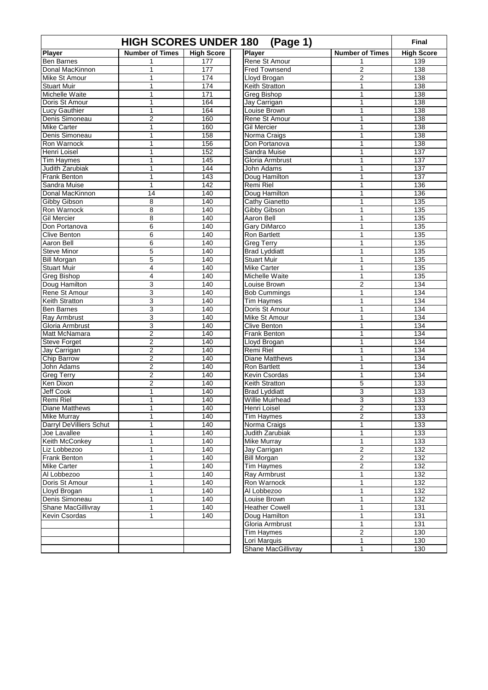| <b>HIGH SCORES UNDER 180</b><br>(Page 1) |                        |                   |                       |                        |                   |  |  |
|------------------------------------------|------------------------|-------------------|-----------------------|------------------------|-------------------|--|--|
| <b>Player</b>                            | <b>Number of Times</b> | <b>High Score</b> | <b>Player</b>         | <b>Number of Times</b> | <b>High Score</b> |  |  |
| <b>Ben Barnes</b>                        |                        | 177               | Rene St Amour         | 1                      | 139               |  |  |
| Donal MacKinnon                          | $\mathbf{1}$           | 177               | <b>Fred Townsend</b>  | $\overline{2}$         | 138               |  |  |
| Mike St Amour                            | $\mathbf{1}$           | 174               | Lloyd Brogan          | $\overline{2}$         | 138               |  |  |
| <b>Stuart Muir</b>                       | 1                      | 174               | Keith Stratton        | 1                      | 138               |  |  |
| Michelle Waite                           | $\mathbf{1}$           | 171               | Greg Bishop           | $\mathbf{1}$           | 138               |  |  |
| Doris St Amour                           | $\mathbf{1}$           | 164               | Jay Carrigan          | 1                      | 138               |  |  |
| <b>Lucy Gauthier</b>                     | $\mathbf{1}$           | 164               | Louise Brown          | 1                      | 138               |  |  |
| Denis Simoneau                           | $\boldsymbol{2}$       | 160               | Rene St Amour         | 1                      | 138               |  |  |
| <b>Mike Carter</b>                       | $\mathbf{1}$           | 160               | Gil Mercier           | 1                      | 138               |  |  |
| Denis Simoneau                           | $\mathbf{1}$           | 158               | Norma Craigs          | 1                      | 138               |  |  |
| Ron Warnock                              | 1                      | 156               | Don Portanova         | 1                      | 138               |  |  |
| Henri Loisel                             | $\mathbf{1}$           | 152               | Sandra Muise          | 1                      | 137               |  |  |
| <b>Tim Haymes</b>                        | 1                      | 145               | Gloria Armbrust       | 1                      | 137               |  |  |
| Judith Zarubiak                          | 1                      | 144               | <b>John Adams</b>     | 1                      | 137               |  |  |
| <b>Frank Benton</b>                      | $\mathbf{1}$           | 143               | Doug Hamilton         | 1                      | 137               |  |  |
| Sandra Muise                             | $\mathbf{1}$           | 142               | Remi Riel             | 1                      | 136               |  |  |
| Donal MacKinnon                          | 14                     | 140               | Doug Hamilton         | 1                      | 136               |  |  |
| Gibby Gibson                             | 8                      | 140               | Cathy Gianetto        | 1                      | 135               |  |  |
| Ron Warnock                              | 8                      | 140               | Gibby Gibson          | 1                      | 135               |  |  |
| <b>Gil Mercier</b>                       | 8                      | 140               | Aaron Bell            | 1                      | 135               |  |  |
| Don Portanova                            | 6                      | 140               | <b>Gary DiMarco</b>   | $\mathbf{1}$           | 135               |  |  |
| <b>Clive Benton</b>                      | 6                      | 140               | Ron Bartlett          | 1                      | 135               |  |  |
| Aaron Bell                               | 6                      | 140               | <b>Greg Terry</b>     | 1                      | 135               |  |  |
| <b>Steve Minor</b>                       | 5                      | 140               | <b>Brad Lyddiatt</b>  | 1                      | 135               |  |  |
| <b>Bill Morgan</b>                       | 5                      | 140               | <b>Stuart Muir</b>    | 1                      | 135               |  |  |
| <b>Stuart Muir</b>                       | 4                      | 140               | <b>Mike Carter</b>    | 1                      | 135               |  |  |
| <b>Greg Bishop</b>                       | $\overline{4}$         | 140               | Michelle Waite        | $\mathbf{1}$           | 135               |  |  |
| Doug Hamilton                            | 3                      | 140               | Louise Brown          | $\overline{2}$         | 134               |  |  |
| Rene St Amour                            | 3                      | 140               | <b>Bob Cummings</b>   | 1                      | 134               |  |  |
| <b>Keith Stratton</b>                    | 3                      | 140               | <b>Tim Haymes</b>     | 1                      | 134               |  |  |
| <b>Ben Barnes</b>                        | 3                      | 140               | Doris St Amour        | 1                      | 134               |  |  |
| Ray Armbrust                             | 3                      | 140               | Mike St Amour         | 1                      | 134               |  |  |
| Gloria Armbrust                          | 3                      | 140               | <b>Clive Benton</b>   | 1                      | 134               |  |  |
| Matt McNamara                            | $\overline{2}$         | 140               | Frank Benton          | 1                      | 134               |  |  |
| <b>Steve Forget</b>                      | $\overline{2}$         | 140               | Lloyd Brogan          | 1                      | 134               |  |  |
| Jay Carrigan                             | $\boldsymbol{2}$       | 140               | Remi Riel             | 1                      | 134               |  |  |
| Chip Barrow                              | $\overline{2}$         | 140               | <b>Diane Matthews</b> | 1                      | 134               |  |  |
| John Adams                               | $\overline{c}$         | 140               | <b>Ron Bartlett</b>   | 1                      | 134               |  |  |
| <b>Greg Terry</b>                        | $\boldsymbol{2}$       | 140               | Kevin Csordas         | 1                      | 134               |  |  |
| Ken Dixon                                | $\overline{2}$         | 140               | Keith Stratton        | 5                      | 133               |  |  |
| Jeff Cook                                | 1                      | 140               | <b>Brad Lyddiatt</b>  | 3                      | 133               |  |  |
| <b>Remi Riel</b>                         | $\mathbf{1}$           | 140               | Willie Muirhead       | 3                      | 133               |  |  |
| Diane Matthews                           | 1                      | 140               | Henri Loisel          | $\overline{c}$         | 133               |  |  |
| <b>Mike Murrav</b>                       | 1                      | 140               | <b>Tim Haymes</b>     | $\overline{2}$         | 133               |  |  |
| Darryl DeVilliers Schut                  | $\mathbf{1}$           | 140               | Norma Craigs          | 1                      | 133               |  |  |
| Joe Lavallee                             | $\mathbf{1}$           | 140               | Judith Zarubiak       | 1                      | 133               |  |  |
| Keith McConkey                           | 1                      | 140               | Mike Murray           | 1                      | 133               |  |  |
| Liz Lobbezoo                             | $\mathbf{1}$           | 140               | Jay Carrigan          | $\overline{2}$         | 132               |  |  |
| <b>Frank Benton</b>                      | $\mathbf{1}$           | 140               | Bill Morgan           | $\overline{2}$         | 132               |  |  |
| <b>Mike Carter</b>                       | 1                      | 140               | Tim Haymes            | $\overline{2}$         | 132               |  |  |
| Al Lobbezoo                              | $\mathbf{1}$           | 140               | Ray Armbrust          | 1                      | 132               |  |  |
| Doris St Amour                           | $\mathbf{1}$           | 140               | Ron Warnock           | $\overline{1}$         | 132               |  |  |
| Lloyd Brogan                             | $\mathbf{1}$           | 140               | Al Lobbezoo           | 1                      | 132               |  |  |
| Denis Simoneau                           | $\mathbf{1}$           | 140               | Louise Brown          | 1                      | 132               |  |  |
| Shane MacGillivray                       | 1                      | 140               | <b>Heather Cowell</b> | 1                      | 131               |  |  |
| Kevin Csordas                            | $\mathbf{1}$           | 140               | Doug Hamilton         | 1                      | 131               |  |  |
|                                          |                        |                   | Gloria Armbrust       | 1                      | 131               |  |  |
|                                          |                        |                   | Tim Haymes            | $\overline{2}$         | 130               |  |  |
|                                          |                        |                   | Lori Marquis          | 1                      | 130               |  |  |
|                                          |                        |                   | Shane MacGillivray    | $\mathbf{1}$           | 130               |  |  |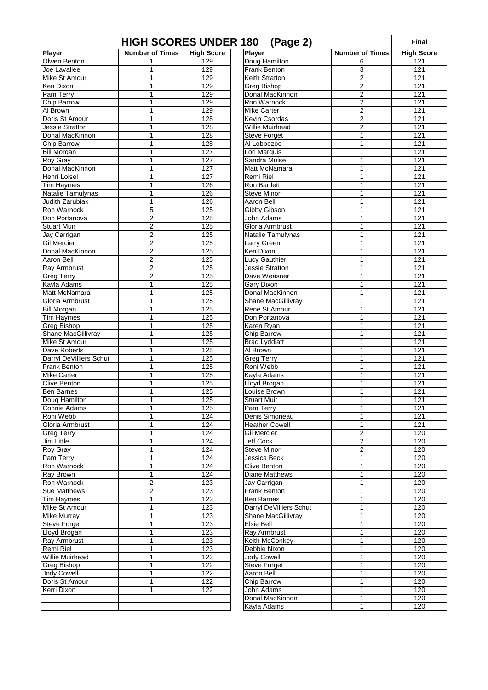| <b>HIGH SCORES UNDER 180</b><br>(Page 2)    |                         |                   |                                   |                                  |                   |  |  |
|---------------------------------------------|-------------------------|-------------------|-----------------------------------|----------------------------------|-------------------|--|--|
| <b>Player</b>                               | <b>Number of Times</b>  | <b>High Score</b> | Player                            | <b>Number of Times</b>           | <b>High Score</b> |  |  |
| Olwen Benton                                |                         | 129               | Doug Hamilton                     | 6                                | 121               |  |  |
| Joe Lavallee                                | $\mathbf{1}$            | 129               | Frank Benton                      | 3                                | 121               |  |  |
| Mike St Amour                               | $\mathbf{1}$            | 129               | Keith Stratton                    | 2                                | 121               |  |  |
| Ken Dixon                                   | 1                       | 129               | Greg Bishop                       | $\overline{2}$                   | 121               |  |  |
| Pam Terry                                   | $\mathbf{1}$            | 129               | Donal MacKinnon                   | $\overline{2}$                   | 121               |  |  |
| <b>Chip Barrow</b>                          | $\mathbf{1}$            | 129               | Ron Warnock                       | $\overline{2}$                   | 121               |  |  |
| Al Brown                                    | 1                       | 129               | <b>Mike Carter</b>                | $\overline{2}$                   | 121               |  |  |
| Doris St Amour                              | 1                       | $\overline{128}$  | Kevin Csordas                     | $\overline{2}$                   | $\overline{121}$  |  |  |
| Jessie Stratton                             | $\mathbf{1}$            | $\overline{128}$  | <b>Willie Muirhead</b>            | $\overline{2}$                   | $\overline{121}$  |  |  |
| Donal MacKinnon                             | 1                       | 128               | <b>Steve Forget</b>               | 1                                | 121               |  |  |
| Chip Barrow                                 | 1                       | 128               | Al Lobbezoo                       | $\mathbf{1}$                     | 121               |  |  |
| <b>Bill Morgan</b>                          | $\mathbf{1}$            | 127               | Lori Marquis                      | 1                                | 121               |  |  |
| <b>Roy Gray</b>                             | 1                       | 127               | Sandra Muise                      | 1                                | 121               |  |  |
| Donal MacKinnon                             | 1                       | 127               | Matt McNamara                     | $\mathbf{1}$                     | 121               |  |  |
| Henri Loisel                                | 1                       | $\overline{127}$  | Remi Riel                         | 1                                | $\overline{121}$  |  |  |
| <b>Tim Haymes</b>                           | $\mathbf{1}$            | 126               | Ron Bartlett                      | $\mathbf{1}$                     | 121               |  |  |
| Natalie Tamulynas<br><b>Judith Zarubiak</b> | $\mathbf{1}$            | 126               | <b>Steve Minor</b>                | $\mathbf{1}$<br>1                | 121               |  |  |
| Ron Warnock                                 | 1                       | 126               | Aaron Bell                        | 1                                | 121<br>121        |  |  |
| Don Portanova                               | 5<br>$\overline{c}$     | 125<br>125        | Gibby Gibson<br><b>John Adams</b> | $\mathbf{1}$                     | 121               |  |  |
| <b>Stuart Muir</b>                          | $\boldsymbol{2}$        | 125               | Gloria Armbrust                   | $\mathbf{1}$                     | 121               |  |  |
| Jay Carrigan                                | $\boldsymbol{2}$        | 125               | Natalie Tamulynas                 | 1                                | 121               |  |  |
| <b>Gil Mercier</b>                          | $\overline{2}$          | 125               | Larry Green                       | 1                                | 121               |  |  |
| Donal MacKinnon                             | $\overline{\mathbf{c}}$ | 125               | Ken Dixon                         | $\mathbf{1}$                     | 121               |  |  |
| Aaron Bell                                  | $\overline{2}$          | 125               | Lucy Gauthier                     | 1                                | 121               |  |  |
| Ray Armbrust                                | $\overline{c}$          | 125               | Jessie Stratton                   | 1                                | 121               |  |  |
| <b>Greg Terry</b>                           | $\overline{2}$          | 125               | Dave Weasner                      | $\mathbf{1}$                     | $\overline{121}$  |  |  |
| Kayla Adams                                 | $\mathbf{1}$            | 125               | Gary Dixon                        | 1                                | 121               |  |  |
| Matt McNamara                               | 1                       | 125               | Donal MacKinnon                   | 1                                | 121               |  |  |
| Gloria Armbrust                             | $\mathbf{1}$            | 125               | <b>Shane MacGillivray</b>         | $\mathbf{1}$                     | 121               |  |  |
| <b>Bill Morgan</b>                          | $\mathbf{1}$            | 125               | Rene St Amour                     | $\mathbf{1}$                     | 121               |  |  |
| <b>Tim Haymes</b>                           | 1                       | 125               | Don Portanova                     | 1                                | 121               |  |  |
| <b>Greg Bishop</b>                          | 1                       | 125               | Karen Ryan                        | 1                                | $\overline{121}$  |  |  |
| Shane MacGillivray                          | $\mathbf{1}$            | 125               | Chip Barrow                       | 1                                | $\overline{121}$  |  |  |
| Mike St Amour                               | $\mathbf{1}$            | 125               | <b>Brad Lyddiatt</b>              | 1                                | 121               |  |  |
| Dave Roberts                                | 1                       | 125               | Al Brown                          | 1                                | 121               |  |  |
| <b>Darryl DeVilliers Schut</b>              | 1                       | 125               | <b>Greg Terry</b>                 | 1                                | 121               |  |  |
| <b>Frank Benton</b>                         | $\mathbf{1}$            | 125               | Roni Webb                         | 1                                | 121               |  |  |
| <b>Mike Carter</b>                          | 1                       | 125               | Kayla Adams                       | $\mathbf{1}$                     | 121               |  |  |
| <b>Clive Benton</b>                         | $\mathbf{1}$            | $\overline{125}$  | Lloyd Brogan                      | 1                                | $\overline{121}$  |  |  |
| <b>Ben Barnes</b>                           | $\mathbf{1}$            | 125               | Louise Brown                      | $\mathbf{1}$                     | 121               |  |  |
| Doug Hamilton                               | 1                       | 125               | <b>Stuart Muir</b>                | 1                                | 121               |  |  |
| Connie Adams                                | 1                       | 125               | Pam Terry                         | 1                                | 121               |  |  |
| Roni Webb                                   | 1                       | 124               | Denis Simoneau                    | $\mathbf{1}$                     | 121               |  |  |
| Gloria Armbrust                             | 1                       | 124               | <b>Heather Cowell</b>             | $\mathbf{1}$                     | 121               |  |  |
| <b>Greg Terry</b>                           | 1                       | 124               | <b>Gil Mercier</b><br>Jeff Cook   | 2                                | 120               |  |  |
| Jim Little                                  | 1<br>1                  | 124<br>124        | Steve Minor                       | $\overline{2}$<br>$\overline{2}$ | 120<br>120        |  |  |
| Roy Gray<br>Pam Terry                       | 1                       | 124               | Jessica Beck                      | 1                                | 120               |  |  |
| Ron Warnock                                 | 1                       | 124               | Clive Benton                      | $\mathbf{1}$                     | 120               |  |  |
| Ray Brown                                   | 1                       | 124               | <b>Diane Matthews</b>             | 1                                | 120               |  |  |
| Ron Warnock                                 | $\overline{2}$          | 123               | Jay Carrigan                      | $\mathbf{1}$                     | 120               |  |  |
| Sue Matthews                                | $\overline{2}$          | 123               | Frank Benton                      | 1                                | 120               |  |  |
| <b>Tim Haymes</b>                           | $\mathbf 1$             | 123               | <b>Ben Barnes</b>                 | 1                                | 120               |  |  |
| Mike St Amour                               | 1                       | 123               | Darryl DeVilliers Schut           | $\mathbf{1}$                     | 120               |  |  |
| <b>Mike Murray</b>                          | $\mathbf{1}$            | 123               | Shane MacGillivray                | 1                                | 120               |  |  |
| <b>Steve Forget</b>                         | 1                       | 123               | Elsie Bell                        | 1                                | 120               |  |  |
| Lloyd Brogan                                | 1                       | 123               | <b>Ray Armbrust</b>               | $\mathbf{1}$                     | 120               |  |  |
| Ray Armbrust                                | 1                       | 123               | Keith McConkey                    | $\mathbf{1}$                     | 120               |  |  |
| Remi Riel                                   | 1                       | 123               | Debbie Nixon                      | 1                                | 120               |  |  |
| <b>Willie Muirhead</b>                      | 1                       | 123               | Jody Cowell                       | $\mathbf{1}$                     | 120               |  |  |
| Greg Bishop                                 | 1                       | 122               | <b>Steve Forget</b>               | $\mathbf{1}$                     | 120               |  |  |
| <b>Jody Cowell</b>                          | 1                       | 122               | Aaron Bell                        | 1                                | 120               |  |  |
| Doris St Amour                              | $\mathbf{1}$            | 122               | Chip Barrow                       | 1                                | 120               |  |  |
| Kerri Dixon                                 | $\mathbf{1}$            | 122               | John Adams                        | $\mathbf{1}$                     | 120               |  |  |
|                                             |                         |                   | Donal MacKinnon                   | 1                                | 120               |  |  |
|                                             |                         |                   | Kayla Adams                       | 1                                | 120               |  |  |
|                                             |                         |                   |                                   |                                  |                   |  |  |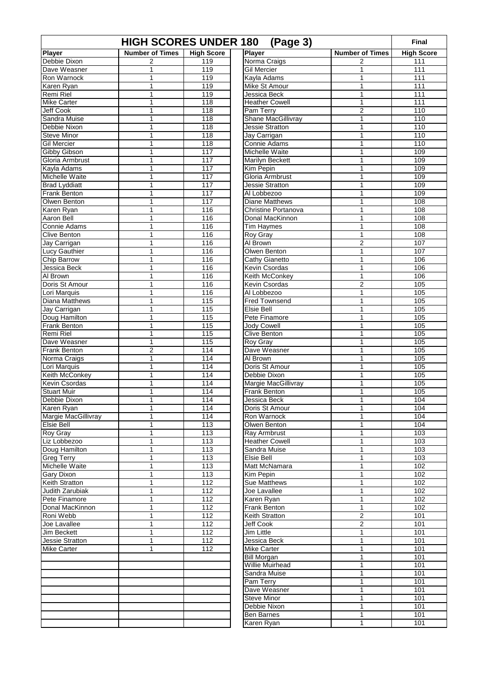| (Page 3)<br><b>HIGH SCORES UNDER 180</b> |                                |                   |                          |                        |                   |  |
|------------------------------------------|--------------------------------|-------------------|--------------------------|------------------------|-------------------|--|
| Player                                   | <b>Number of Times</b>         | <b>High Score</b> | Player                   | <b>Number of Times</b> | <b>High Score</b> |  |
| Debbie Dixon                             | 2                              | 119               | Norma Craigs             | 2                      | 111               |  |
| Dave Weasner                             | 1                              | 119               | <b>Gil Mercier</b>       | 1                      | 111               |  |
| Ron Warnock                              | $\mathbf{1}$                   | 119               | Kavla Adams              | 1                      | 111               |  |
| Karen Ryan                               | 1                              | 119               | Mike St Amour            | 1                      | 111               |  |
| Remi Riel                                | 1                              | 119               | Jessica Beck             | 1                      | 111               |  |
| <b>Mike Carter</b>                       | 1                              | 118               | <b>Heather Cowell</b>    | 1                      | 111               |  |
| Jeff Cook                                | 1                              | 118               | Pam Terry                | $\overline{2}$         | 110               |  |
| Sandra Muise                             | 1                              | 118               | Shane MacGillivray       | $\mathbf{1}$           | 110               |  |
| Debbie Nixon                             | 1                              | 118               | Jessie Stratton          | $\mathbf{1}$           | 110               |  |
| <b>Steve Minor</b>                       | 1                              | 118               | Jay Carrigan             | 1                      | 110               |  |
| <b>Gil Mercier</b>                       | 1                              | 118               | Connie Adams             | 1                      | 110               |  |
| Gibby Gibson                             | 1                              | 117               | Michelle Waite           | 1                      | 109               |  |
| Gloria Armbrust                          | 1                              | 117               | Marilyn Beckett          | 1                      | 109               |  |
| Kayla Adams                              | 1                              | 117               | Kim Pepin                | 1                      | 109               |  |
| Michelle Waite                           | $\mathbf{1}$                   | 117               | Gloria Armbrust          | $\mathbf{1}$           | 109               |  |
| <b>Brad Lyddiatt</b>                     | 1                              | 117               | Jessie Stratton          | 1                      | 109               |  |
| Frank Benton                             | 1                              | 117               | Al Lobbezoo              | 1                      | 109               |  |
| Olwen Benton                             | 1                              | 117               | <b>Diane Matthews</b>    | 1                      | 108               |  |
| Karen Ryan                               | 1                              | 116               | Christine Portanova      | 1                      | 108               |  |
| Aaron Bell                               | 1                              | 116               | Donal MacKinnon          | 1                      | 108               |  |
| Connie Adams                             | 1                              | 116               | <b>Tim Haymes</b>        | 1                      | 108               |  |
| <b>Clive Benton</b>                      | $\mathbf{1}$                   | 116               | Roy Gray                 | 1                      | 108               |  |
| Jay Carrigan                             | 1                              | 116               | Al Brown                 | $\overline{2}$         | 107               |  |
| <b>Lucy Gauthier</b>                     | 1                              | 116               | Olwen Benton             | 1                      | 107               |  |
| <b>Chip Barrow</b>                       | 1                              | 116               | Cathy Gianetto           | 1                      | 106               |  |
| Jessica Beck                             | 1                              | 116               | Kevin Csordas            | $\mathbf{1}$           | 106               |  |
| Al Brown                                 | 1                              | 116               | Keith McConkey           | $\mathbf{1}$           | 106               |  |
| Doris St Amour                           | 1                              | 116               | Kevin Csordas            | $\overline{2}$         | 105               |  |
| Lori Marquis                             | 1                              | 116               | Al Lobbezoo              | $\mathbf{1}$           | 105               |  |
| Diana Matthews                           | 1                              | 115               | <b>Fred Townsend</b>     | 1                      | 105               |  |
| Jay Carrigan                             | 1                              | 115               | Elsie Bell               | 1                      | 105               |  |
| Doug Hamilton                            | 1                              | 115               | Pete Finamore            | 1                      | 105               |  |
| <b>Frank Benton</b>                      | 1                              | 115               | <b>Jody Cowell</b>       | 1                      | 105               |  |
| Remi Riel<br>Dave Weasner                | 1                              | 115               | Clive Benton             | 1                      | 105               |  |
|                                          | 1                              | 115               | <b>Roy Gray</b>          | 1                      | 105               |  |
| <b>Frank Benton</b>                      | $\overline{2}$<br>$\mathbf{1}$ | 114<br>114        | Dave Weasner<br>Al Brown | 1<br>$\mathbf{1}$      | 105<br>105        |  |
| Norma Craigs<br>Lori Marquis             | $\mathbf{1}$                   | 114               | Doris St Amour           | 1                      | 105               |  |
| Keith McConkey                           | 1                              | 114               | Debbie Dixon             | 1                      | 105               |  |
| Kevin Csordas                            | $\mathbf{1}$                   | 114               | Margie MacGillivray      | $\mathbf{1}$           | 105               |  |
| <b>Stuart Muir</b>                       | 1                              | 114               | Frank Benton             | 1                      | 105               |  |
| Debbie Dixon                             | 1                              | 114               | Jessica Beck             | 1                      | 104               |  |
| Karen Ryan                               | 1                              | 114               | Doris St Amour           | 1                      | 104               |  |
| Margie MacGillivray                      | $\mathbf{1}$                   | 114               | Ron Warnock              | 1                      | 104               |  |
| Elsie Bell                               | 1                              | 113               | Olwen Benton             | 1                      | 104               |  |
| Roy Gray                                 | 1                              | 113               | Ray Armbrust             | 1                      | 103               |  |
| Liz Lobbezoo                             | $\mathbf{1}$                   | 113               | <b>Heather Cowell</b>    | 1                      | 103               |  |
| Doug Hamilton                            | 1                              | 113               | Sandra Muise             | 1                      | 103               |  |
| <b>Greg Terry</b>                        | 1                              | 113               | Elsie Bell               | 1                      | 103               |  |
| Michelle Waite                           | 1                              | 113               | Matt McNamara            | 1                      | 102               |  |
| <b>Gary Dixon</b>                        | 1                              | 113               | Kim Pepin                | 1                      | 102               |  |
| Keith Stratton                           | 1                              | 112               | Sue Matthews             | 1                      | 102               |  |
| Judith Zarubiak                          | 1                              | 112               | Joe Lavallee             | 1                      | 102               |  |
| Pete Finamore                            | 1                              | 112               | Karen Ryan               | 1                      | 102               |  |
| Donal MacKinnon                          | $\mathbf{1}$                   | 112               | Frank Benton             | $\mathbf{1}$           | 102               |  |
| Roni Webb                                | $\mathbf{1}$                   | 112               | Keith Stratton           | 2                      | 101               |  |
| Joe Lavallee                             | 1                              | 112               | Jeff Cook                | 2                      | 101               |  |
| Jim Beckett                              | 1                              | 112               | Jim Little               | 1                      | 101               |  |
| Jessie Stratton                          | 1                              | 112               | Jessica Beck             | $\mathbf{1}$           | 101               |  |
| <b>Mike Carter</b>                       | 1                              | 112               | <b>Mike Carter</b>       | 1                      | 101               |  |
|                                          |                                |                   | <b>Bill Morgan</b>       | 1                      | 101               |  |
|                                          |                                |                   | Willie Muirhead          | $\mathbf{1}$           | 101               |  |
|                                          |                                |                   | Sandra Muise             | 1                      | 101               |  |
|                                          |                                |                   | Pam Terry                | 1                      | 101               |  |
|                                          |                                |                   | Dave Weasner             | $\mathbf{1}$           | 101               |  |
|                                          |                                |                   | <b>Steve Minor</b>       | 1                      | 101               |  |
|                                          |                                |                   | Debbie Nixon             | 1                      | 101               |  |
|                                          |                                |                   | Ben Barnes               | 1                      | 101               |  |
|                                          |                                |                   | Karen Ryan               | $\mathbf{1}$           | 101               |  |